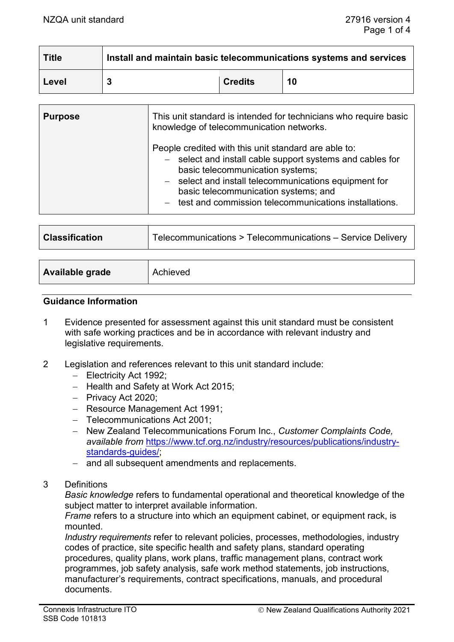| <b>Title</b> | Install and maintain basic telecommunications systems and services |                |    |
|--------------|--------------------------------------------------------------------|----------------|----|
| Level        |                                                                    | <b>Credits</b> | 10 |

| <b>Purpose</b> | This unit standard is intended for technicians who require basic<br>knowledge of telecommunication networks.                                                                                                                                                                                                      |
|----------------|-------------------------------------------------------------------------------------------------------------------------------------------------------------------------------------------------------------------------------------------------------------------------------------------------------------------|
|                | People credited with this unit standard are able to:<br>- select and install cable support systems and cables for<br>basic telecommunication systems;<br>- select and install telecommunications equipment for<br>basic telecommunication systems; and<br>- test and commission telecommunications installations. |

| <b>Classification</b>  | Telecommunications > Telecommunications - Service Delivery |
|------------------------|------------------------------------------------------------|
|                        |                                                            |
| <b>Available grade</b> | Achieved                                                   |

#### **Guidance Information**

- 1 Evidence presented for assessment against this unit standard must be consistent with safe working practices and be in accordance with relevant industry and legislative requirements.
- 2 Legislation and references relevant to this unit standard include:
	- − Electricity Act 1992;
	- − Health and Safety at Work Act 2015;
	- − Privacy Act 2020;
	- − Resource Management Act 1991;
	- − Telecommunications Act 2001;
	- − New Zealand Telecommunications Forum Inc., *Customer Complaints Code, available from* [https://www.tcf.org.nz/industry/resources/publications/industry](https://www.tcf.org.nz/industry/resources/publications/industry-standards-guides/)[standards-guides/;](https://www.tcf.org.nz/industry/resources/publications/industry-standards-guides/)
	- − and all subsequent amendments and replacements.
- 3 Definitions

*Basic knowledge* refers to fundamental operational and theoretical knowledge of the subject matter to interpret available information.

*Frame* refers to a structure into which an equipment cabinet, or equipment rack, is mounted.

*Industry requirements* refer to relevant policies, processes, methodologies, industry codes of practice, site specific health and safety plans, standard operating procedures, quality plans, work plans, traffic management plans, contract work programmes, job safety analysis, safe work method statements, job instructions, manufacturer's requirements, contract specifications, manuals, and procedural documents.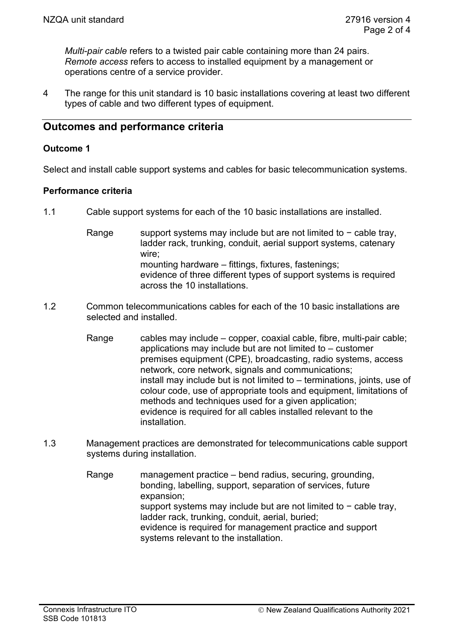*Multi-pair cable* refers to a twisted pair cable containing more than 24 pairs. *Remote access* refers to access to installed equipment by a management or operations centre of a service provider.

4 The range for this unit standard is 10 basic installations covering at least two different types of cable and two different types of equipment.

# **Outcomes and performance criteria**

#### **Outcome 1**

Select and install cable support systems and cables for basic telecommunication systems.

#### **Performance criteria**

- 1.1 Cable support systems for each of the 10 basic installations are installed.
	- Range support systems may include but are not limited to − cable tray, ladder rack, trunking, conduit, aerial support systems, catenary wire; mounting hardware – fittings, fixtures, fastenings; evidence of three different types of support systems is required across the 10 installations.
- 1.2 Common telecommunications cables for each of the 10 basic installations are selected and installed.
	- Range cables may include copper, coaxial cable, fibre, multi-pair cable; applications may include but are not limited to – customer premises equipment (CPE), broadcasting, radio systems, access network, core network, signals and communications; install may include but is not limited to – terminations, joints, use of colour code, use of appropriate tools and equipment, limitations of methods and techniques used for a given application; evidence is required for all cables installed relevant to the installation.
- 1.3 Management practices are demonstrated for telecommunications cable support systems during installation.
	- Range management practice bend radius, securing, grounding, bonding, labelling, support, separation of services, future expansion; support systems may include but are not limited to - cable tray, ladder rack, trunking, conduit, aerial, buried; evidence is required for management practice and support systems relevant to the installation.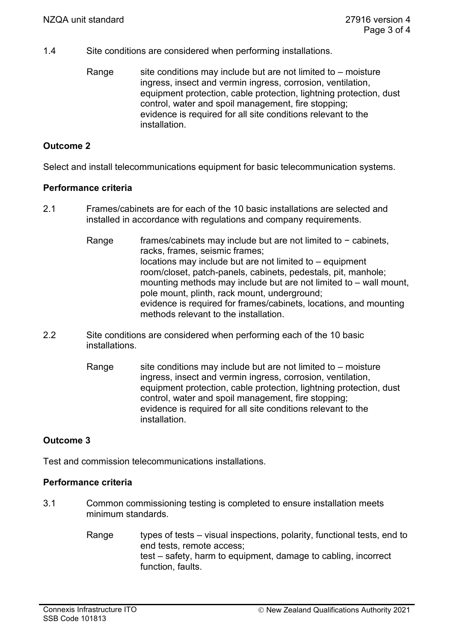- 1.4 Site conditions are considered when performing installations.
	- Range site conditions may include but are not limited to  $-$  moisture ingress, insect and vermin ingress, corrosion, ventilation, equipment protection, cable protection, lightning protection, dust control, water and spoil management, fire stopping; evidence is required for all site conditions relevant to the installation.

## **Outcome 2**

Select and install telecommunications equipment for basic telecommunication systems.

#### **Performance criteria**

- 2.1 Frames/cabinets are for each of the 10 basic installations are selected and installed in accordance with regulations and company requirements.
	- Range frames/cabinets may include but are not limited to − cabinets, racks, frames, seismic frames; locations may include but are not limited to – equipment room/closet, patch-panels, cabinets, pedestals, pit, manhole; mounting methods may include but are not limited to – wall mount, pole mount, plinth, rack mount, underground; evidence is required for frames/cabinets, locations, and mounting methods relevant to the installation.
- 2.2 Site conditions are considered when performing each of the 10 basic installations.
	- Range site conditions may include but are not limited to  $-$  moisture ingress, insect and vermin ingress, corrosion, ventilation, equipment protection, cable protection, lightning protection, dust control, water and spoil management, fire stopping; evidence is required for all site conditions relevant to the installation.

# **Outcome 3**

Test and commission telecommunications installations.

#### **Performance criteria**

- 3.1 Common commissioning testing is completed to ensure installation meets minimum standards.
	- Range types of tests visual inspections, polarity, functional tests, end to end tests, remote access; test – safety, harm to equipment, damage to cabling, incorrect function, faults.